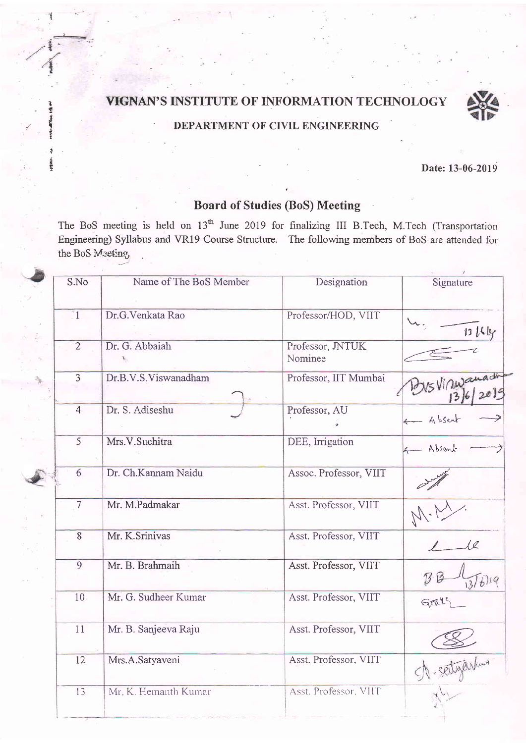## VIGNAN'S INSTITUTE OF INFORMATION TECHNOLOGY

1

\*

t i z t



#### DEPARTMENT OF CIVIL ENGINEERING

 $\frac{2}{3}$  Date: 13-06-2019

### Board of Studies (BoS) Meeting

The BoS meeting is held on 13<sup>th</sup> June 2019 for finalizing III B.Tech, M.Tech (Transportation Engineering) Syllabus and VR19 Course Structure. The following members of BoS are attended for the BoS Meeting

| S.No           | Name of The BoS Member | Designation            | Signature              |
|----------------|------------------------|------------------------|------------------------|
|                |                        |                        |                        |
| 1              | Dr.G.Venkata Rao       | Professor/HOD, VIIT    |                        |
|                |                        |                        | 12144                  |
| $\overline{2}$ | Dr. G. Abbaiah         | Professor, JNTUK       |                        |
|                |                        | Nominee                |                        |
| $\overline{3}$ | Dr.B.V.S.Viswanadham   | Professor, IIT Mumbai  |                        |
|                |                        |                        | $BysVinw^{\text{aud}}$ |
| $\overline{4}$ | Dr. S. Adiseshu        | Professor, AU          | - Absent               |
|                |                        |                        |                        |
| 5              | Mrs.V.Suchitra         | DEE, Irrigation        | 4 Absent               |
|                |                        |                        |                        |
| 6              | Dr. Ch.Kannam Naidu    | Assoc. Professor, VIIT |                        |
|                |                        |                        |                        |
| $\overline{7}$ | Mr. M.Padmakar         | Asst. Professor, VIIT  |                        |
|                |                        |                        |                        |
| 8              | Mr. K.Srinivas         | Asst. Professor, VIIT  |                        |
|                |                        |                        |                        |
| 9              | Mr. B. Brahmaih        | Asst. Professor, VIIT  |                        |
|                |                        |                        |                        |
| 10             | Mr. G. Sudheer Kumar   | Asst. Professor, VIIT  | $G_1 \otimes Y$        |
|                |                        |                        |                        |
| 11             | Mr. B. Sanjeeva Raju   | Asst. Professor, VIIT  |                        |
|                |                        |                        |                        |
| 12             | Mrs.A.Satyaveni        | Asst. Professor, VIIT  | A-seityantur           |
|                |                        |                        |                        |
| 13             | Mr. K. Hemanth Kumar   | Asst. Professor, VIIT  |                        |
|                |                        |                        |                        |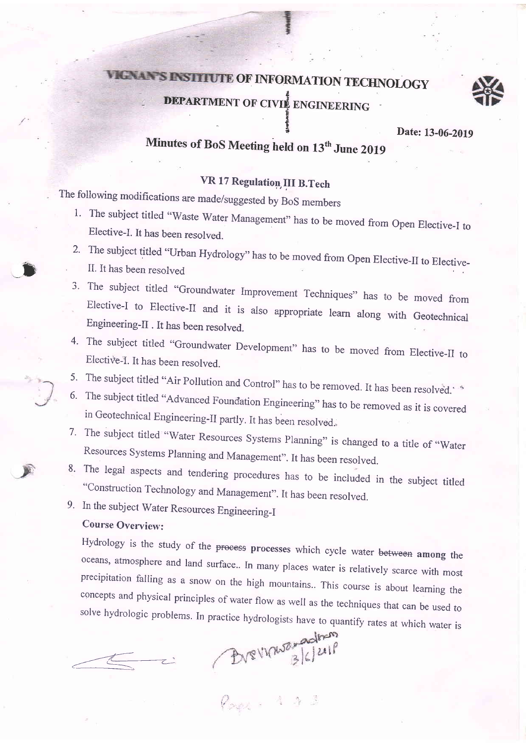## VIGNAN'S INSTITUTE OF INFORMATION TECHNOLOGY **DEPARTMENT OF CIVIL ENGINEERING the Second Control**

E



#### Date: 13-06-2019

# Minutes of BoS Meeting held on 13<sup>th</sup> June 2019

## VR 17 Regulation III B.Tech

The following modifications are made/suggested by Bos members

- 1. The subject titled "Waste Water Management" has to be moved from Open Elective-I to Elective-I. It has been resolved.
- 2. The subject titled "Urban Hydrology" has to be moved from Open Elective-II to Elective-<br>II. It has been resolved
- 3. The subject titled "Groundwater Improvement Techniques" has to be moved from Elective-I to Elective-II and it is also appropriate learn along with Geotechnical Engineering-Il . It has been resolved.
- 4. The subject titled "Groundwater Development" has to be moved from Elective-II to Elective-I. It has been resolved.
- 
- 5. The subject titled "Air Pollution and Control" has to be removed. It has been resolved. "<br>6. The subject titled "Advanced Foundation Engineering" has to be removed as it is covered<br>in Geotechnical Engineering-II partly.
- 7. The subject titled "Water Resources Systems Planning" is changed to a title of "Water Resources Systems Planning and Management". It has been resolved.
- 8. The legal aspects and tendering procedures has to be included in the subject titled "Construction Technology and Management". It has been resolved.<br>9. In the subject Water Resources Engineering-I
- 

#### Course Overview:

 $\bullet$ 

Hydrology is the study of the processes processes which cycle water between among the oceans, atmosphere and land surface.. In many places water is relatively scarce with most precipitation falling as a snow on the high mo

Brevinwayadhem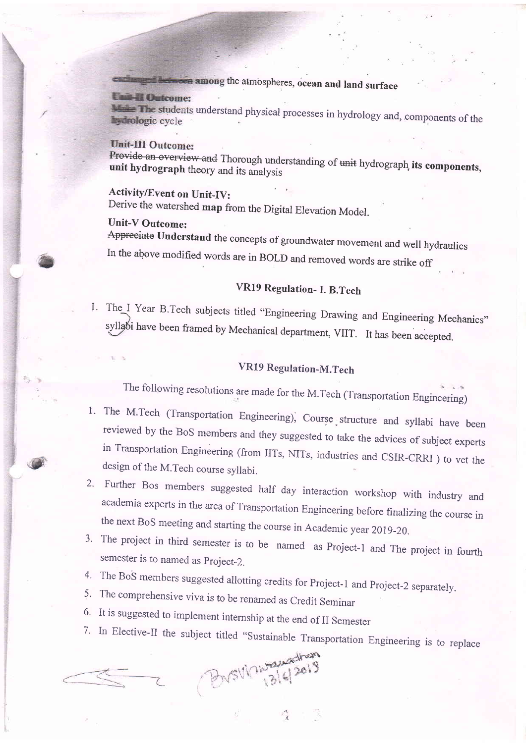the among the atmospheres, ocean and land surface

**E-11 Outcome: The students understand physical processes in hydrology and, components of the Eydrologic** cycle

Unit-III Outcome:<br>Provide an overview and Thorough understanding of unit hydrograph its components, unit hydrograph theory and its analysis

Activity/Event on Unit\_IV: Derive the watershed map from the Digital Elevation Model.

#### Unit-V Outcone:

Appreciate Understand the concepts of groundwater movement and well hydraulics In the alove modified words are in BOLD and removed words are strike off

## VR19 Regulation- I. B.Tech

l. The I Year B.Tech subjects titled "Engineering Drawing and Engineering Mechanics"<br>syllabi have been framed by Mechanical department, VIIT. It has been accepted.

## VR19 Regulation-M.Tech

The following resolutions are made for the M.Tech (Transportation Engineering)

- 1. The M.Tech (Transportation Engineering), Course structure and syllabi have been reviewed by the BoS members and they suggested to take the advices of subject experts in Transportation Engineering (from IITs, NITs, indus
- 2. Further Bos members suggested half day interaction workshop with industry and academia experts in the area of Transportation Engineering before finalizing the course in the next BoS meeting and starting the course in Ac
- semester is to named as Project-2.
- 
- 
- 
- 4. The BoS members suggested allotting credits for Project-1 and Project-2 separately.<br>
5. The comprehensive viva is to be renamed as Credit Seminar<br>
6. It is suggested to implement internship at the end of II Semester<br>
7

,!.